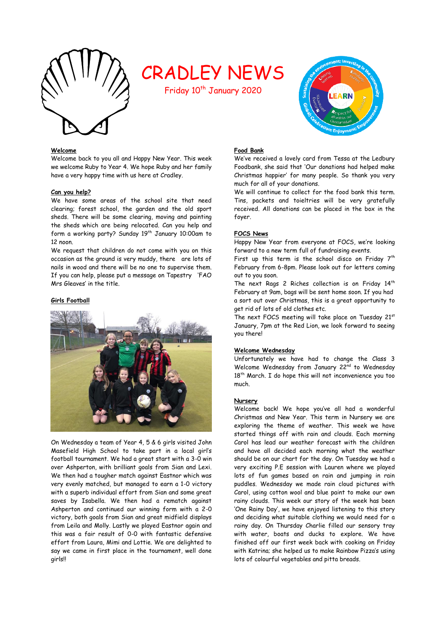

# CRADLEY NEWS

Friday 10<sup>th</sup> January 2020

### **Welcome**

Welcome back to you all and Happy New Year. This week we welcome Ruby to Year 4. We hope Ruby and her family have a very happy time with us here at Cradley.

### **Can you help?**

We have some areas of the school site that need clearing; forest school, the garden and the old sport sheds. There will be some clearing, moving and painting the sheds which are being relocated. Can you help and form a working party? Sunday 19<sup>th</sup> January 10:00am to 12 noon.

We request that children do not come with you on this occasion as the ground is very muddy, there are lots of nails in wood and there will be no one to supervise them. If you can help, please put a message on Tapestry 'FAO Mrs Gleaves' in the title.

### **Girls Football**



On Wednesday a team of Year 4, 5 & 6 girls visited John Masefield High School to take part in a local girl's football tournament. We had a great start with a 3-0 win over Ashperton, with brilliant goals from Sian and Lexi. We then had a tougher match against Eastnor which was very evenly matched, but managed to earn a 1-0 victory with a superb individual effort from Sian and some great saves by Isabella. We then had a rematch against Ashperton and continued our winning form with a 2-0 victory, both goals from Sian and great midfield displays from Leila and Molly. Lastly we played Eastnor again and this was a fair result of 0-0 with fantastic defensive effort from Laura, Mimi and Lottie. We are delighted to say we came in first place in the tournament, well done girls!!

# **ARN**

### **Food Bank**

We've received a lovely card from Tessa at the Ledbury Foodbank, she said that 'Our donations had helped make Christmas happier' for many people. So thank you very much for all of your donations.

We will continue to collect for the food bank this term. Tins, packets and toieltries will be very gratefully received. All donations can be placed in the box in the foyer.

### **FOCS News**

Happy New Year from everyone at FOCS, we're looking forward to a new term full of fundraising events.

First up this term is the school disco on Friday  $7<sup>th</sup>$ February from 6-8pm. Please look out for letters coming out to you soon.

The next Rags 2 Riches collection is on Friday 14<sup>th</sup> February at 9am, bags will be sent home soon. If you had a sort out over Christmas, this is a great opportunity to get rid of lots of old clothes etc.

The next FOCS meeting will take place on Tuesday 21st January, 7pm at the Red Lion, we look forward to seeing you there!

### **Welcome Wednesday**

Unfortunately we have had to change the Class 3 Welcome Wednesday from January 22<sup>nd</sup> to Wednesday 18<sup>th</sup> March. I do hope this will not inconvenience you too much.

### **Nursery**

Welcome back! We hope you've all had a wonderful Christmas and New Year. This term in Nursery we are exploring the theme of weather. This week we have started things off with rain and clouds. Each morning Carol has lead our weather forecast with the children and have all decided each morning what the weather should be on our chart for the day. On Tuesday we had a very exciting P.E session with Lauren where we played lots of fun games based on rain and jumping in rain puddles. Wednesday we made rain cloud pictures with Carol, using cotton wool and blue paint to make our own rainy clouds. This week our story of the week has been 'One Rainy Day', we have enjoyed listening to this story and deciding what suitable clothing we would need for a rainy day. On Thursday Charlie filled our sensory tray with water, boats and ducks to explore. We have finished off our first week back with cooking on Friday with Katrina; she helped us to make Rainbow Pizza's using lots of colourful vegetables and pitta breads.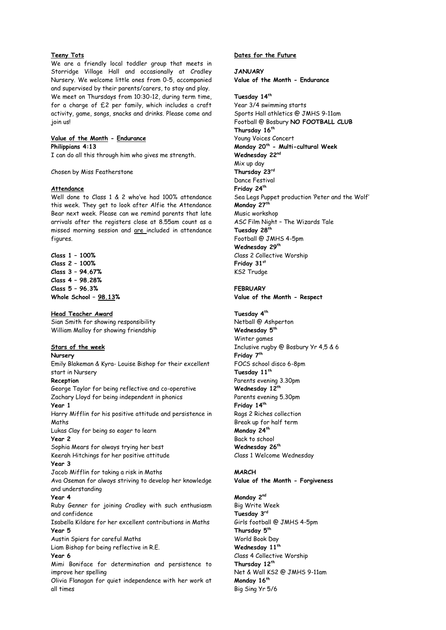### **Teeny Tots**

We are a friendly local toddler group that meets in Storridge Village Hall and occasionally at Cradley Nursery. We welcome little ones from 0-5, accompanied and supervised by their parents/carers, to stay and play. We meet on Thursdays from 10:30-12, during term time, for a charge of £2 per family, which includes a craft activity, game, songs, snacks and drinks. Please come and join us!

### **Value of the Month - Endurance Philippians 4:13**

I can do all this through him who gives me strength.

Chosen by Miss Featherstone

### **Attendance**

Well done to Class 1 & 2 who've had 100% attendance this week. They get to look after Alfie the Attendance Bear next week. Please can we remind parents that late arrivals after the registers close at 8.55am count as a missed morning session and are included in attendance figures.

**Class 1 – 100% Class 2 – 100% Class 3 – 94.67% Class 4 – 98.28% Class 5 – 96.3% Whole School – 98.13%**

**Head Teacher Award** Sian Smith for showing responsibility William Malloy for showing friendship

### **Stars of the week**

### **Nursery**

Emily Blakeman & Kyra- Louise Bishop for their excellent start in Nursery

### **Reception**

George Taylor for being reflective and co-operative Zachary Lloyd for being independent in phonics **Year 1**  Harry Mifflin for his positive attitude and persistence in

Maths

Lukas Clay for being so eager to learn

### **Year 2**

Sophia Mears for always trying her best Keerah Hitchings for her positive attitude

### **Year 3**

Jacob Mifflin for taking a risk in Maths Ava Oseman for always striving to develop her knowledge and understanding

### **Year 4**

Ruby Genner for joining Cradley with such enthusiasm and confidence

Isabella Kildare for her excellent contributions in Maths **Year 5**

Austin Spiers for careful Maths

Liam Bishop for being reflective in R.E.

### **Year 6**

Mimi Boniface for determination and persistence to improve her spelling

Olivia Flanagan for quiet independence with her work at all times

### **Dates for the Future**

**JANUARY Value of the Month - Endurance**

**Tuesday 14th** Year 3/4 swimming starts Sports Hall athletics @ JMHS 9-11am Football @ Bosbury **NO FOOTBALL CLUB Thursday 16th** Young Voices Concert **Monday 20th - Multi-cultural Week Wednesday 22nd** Mix up day **Thursday 23rd** Dance Festival **Friday 24th** Sea Legs Puppet production 'Peter and the Wolf' **Monday 27th** Music workshop ASC Film Night – The Wizards Tale **Tuesday 28th** Football @ JMHS 4-5pm **Wednesday 29th** Class 2 Collective Worship **Friday 31st** KS2 Trudge

**FEBRUARY Value of the Month - Respect**

**Tuesday 4th** Netball @ Ashperton **Wednesday 5th** Winter games Inclusive rugby @ Bosbury Yr 4,5 & 6 **Friday 7th** FOCS school disco 6-8pm **Tuesday 11th** Parents evening 3.30pm **Wednesday 12th** Parents evening 5.30pm **Friday 14th** Rags 2 Riches collection Break up for half term **Monday 24th** Back to school **Wednesday 26th** Class 1 Welcome Wednesday

### **MARCH**

# **Value of the Month - Forgiveness**

**Monday 2nd** Big Write Week **Tuesday 3rd** Girls football @ JMHS 4-5pm **Thursday 5th** World Book Day **Wednesday 11th** Class 4 Collective Worship **Thursday 12th** Net & Wall KS2 @ JMHS 9-11am **Monday 16th** Big Sing Yr 5/6